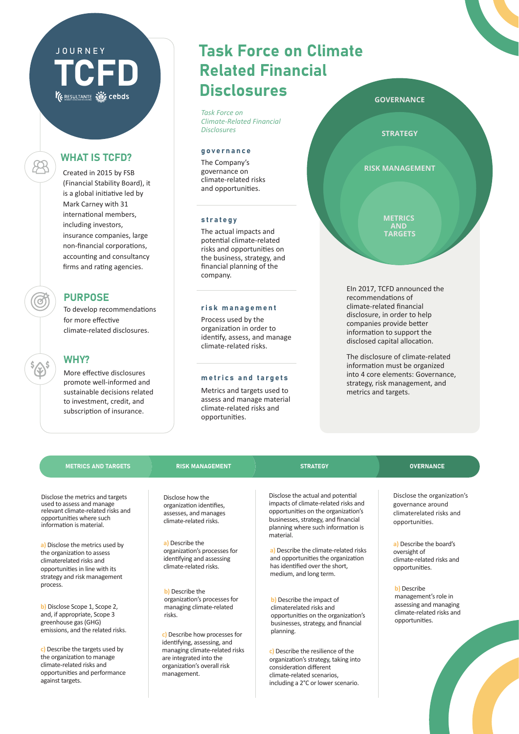# WHAT IS TCFD?

 $\beta\!\!\!\beta\!\!\!\beta$ 

**TCFD** 

JOURNEY

Created in 2015 by FSB (Financial Stability Board), it is a global initiative led by Mark Carney with 31 international members, including investors, insurance companies, large non-financial corporations, accounting and consultancy firms and rating agencies.

### **PURPOSE**

To develop recommendations for more effective climate-related disclosures.

### WHY?

More effective disclosures promote well-informed and sustainable decisions related to investment, credit, and subscription of insurance.

# Task Force on Climate Related Financial **Disclosures**

*Task Force on Climate-Related Financial Disclosures*

#### governance

The Company's governance on climate-related risks and opportunities.

#### strategy

The actual impacts and poten�al climate-related risks and opportuni�es on the business, strategy, and financial planning of the company.

#### risk management

Process used by the organization in order to identify, assess, and manage climate-related risks.

#### metrics and targets

Metrics and targets used to assess and manage material climate-related risks and opportuni�es.

EIn 2017, TCFD announced the recommendations of climate-related financial disclosure, in order to help

companies provide better information to support the disclosed capital allocation. The disclosure of climate-related

information must be organized into 4 core elements: Governance, strategy, risk management, and metrics and targets.

#### METRICS AND TARGETS RISK MANAGEMENT STRATEGY STRATEGY OVERNANCE

Disclose the metrics and targets used to assess and manage relevant climate-related risks and opportuni�es where such information is material.

**a)** Disclose the metrics used by the organization to assess climaterelated risks and opportuni�es in line with its strategy and risk management process.

**b)** Disclose Scope 1, Scope 2, and, if appropriate, Scope 3 greenhouse gas (GHG) emissions, and the related risks.

**c)** Describe the targets used by the organization to manage climate-related risks and opportuni�es and performance against targets.

Disclose how the organization identifies, assesses, and manages climate-related risks.

**a)** Describe the organiza�on's processes for identifying and assessing climate-related risks.

**b)** Describe the organization's processes for managing climate-related risks.

**c)** Describe how processes for identifying, assessing, and managing climate-related risks are integrated into the organiza�on's overall risk management.

Disclose the actual and potential impacts of climate-related risks and opportuni�es on the organiza�on's businesses, strategy, and financial planning where such information is material.

**a)** Describe the climate-related risks and opportunities the organization has identified over the short. medium, and long term.

**b)** Describe the impact of climaterelated risks and opportunities on the organization's businesses, strategy, and financial planning.

**c)** Describe the resilience of the organization's strategy, taking into consideration different climate-related scenarios, including a 2°C or lower scenario.

Disclose the organization's governance around climaterelated risks and opportuni�es.

**a)** Describe the board's oversight of climate-related risks and opportuni�es.

**b)** Describe management's role in assessing and managing climate-related risks and opportuni�es.

#### **GOVERNANCE**

**STRATEGY**

**RISK MANAGEMENT**

**METRICS AND TARGETS**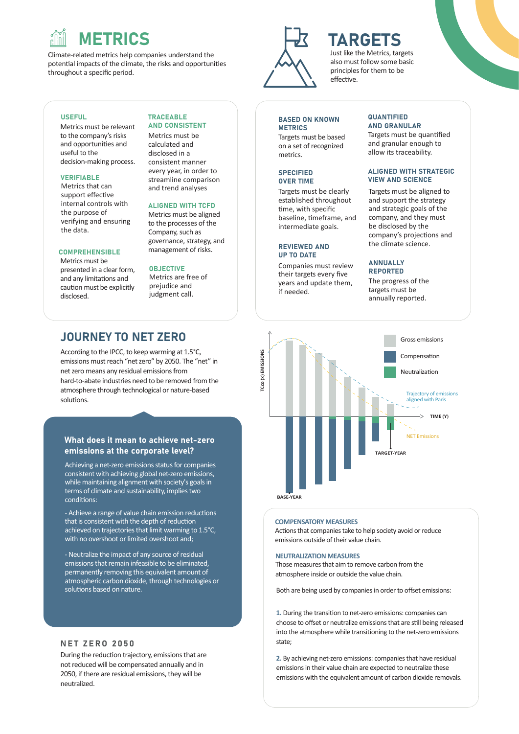# METRICS

Climate-related metrics help companies understand the potential impacts of the climate, the risks and opportunities throughout a specific period.

#### **USEFUL**

Metrics must be relevant to the company's risks and opportuni�es and useful to the decision-making process.

#### VERIFIABLE

Metrics that can support effective internal controls with the purpose of verifying and ensuring the data.

#### **COMPREHENSIBLE**

Metrics must be presented in a clear form, and any limitations and cau�on must be explicitly disclosed.

#### TRACEABLE AND CONSISTENT

Metrics must be calculated and disclosed in a consistent manner every year, in order to streamline comparison and trend analyses

#### ALIGNED WITH TCFD

Metrics must be aligned to the processes of the Company, such as governance, strategy, and management of risks.

#### **OBJECTIVE**

Metrics are free of prejudice and judgment call.

### JOURNEY TO NET ZERO

According to the IPCC, to keep warming at 1.5°C, emissions must reach "net zero" by 2050. The "net" in net zero means any residual emissions from hard-to-abate industries need to be removed from the atmosphere through technological or nature-based solutions.

#### What does it mean to achieve net-zero emissions at the corporate level?

Achieving a net-zero emissions status for companies consistent with achieving global net-zero emissions, while maintaining alignment with society's goals in terms of climate and sustainability, implies two conditions:

- Achieve a range of value chain emission reductions that is consistent with the depth of reduction achieved on trajectories that limit warming to 1.5°C, with no overshoot or limited overshoot and;

- Neutralize the impact of any source of residual emissions that remain infeasible to be eliminated, permanently removing this equivalent amount of atmospheric carbon dioxide, through technologies or solutions based on nature.

#### NET ZERO 2050

During the reduction trajectory, emissions that are not reduced will be compensated annually and in 2050, if there are residual emissions, they will be neutralized.



# TARGETS

Just like the Metrics, targets also must follow some basic principles for them to be effective

#### BASED ON KNOWN **METRICS**

Targets must be based on a set of recognized metrics.

#### **SPECIFIED** OVER TIME

Targets must be clearly established throughout time, with specific baseline, timeframe, and intermediate goals.

#### REVIEWED AND UP TO DATE

Companies must review their targets every five years and update them, if needed.

#### **QUANTIFIED** AND GRANULAR

Targets must be quan�fied and granular enough to allow its traceability.

#### ALIGNED WITH STRATEGIC VIEW AND SCIENCE

Targets must be aligned to and support the strategy and strategic goals of the company, and they must be disclosed by the company's projections and the climate science.

#### ANNUALLY REPORTED

The progress of the targets must be annually reported.



#### **COMPENSATORY MEASURES**

Actions that companies take to help society avoid or reduce emissions outside of their value chain.

#### **NEUTRALIZATION MEASURES**

Those measures that aim to remove carbon from the atmosphere inside or outside the value chain.

Both are being used by companies in order to offset emissions:

1. During the transition to net-zero emissions: companies can choose to offset or neutralize emissions that are still being released into the atmosphere while transitioning to the net-zero emissions state;

**2.** By achieving net-zero emissions: companies that have residual emissions in their value chain are expected to neutralize these emissions with the equivalent amount of carbon dioxide removals.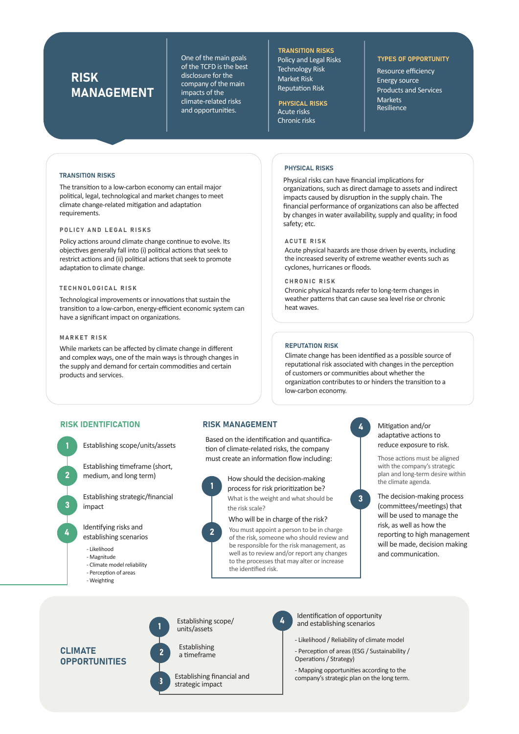### RISK MANAGEMENT

One of the main goals of the TCFD is the best disclosure for the company of the main impacts of the climate-related risks and opportunities.

TRANSITION RISKS Policy and Legal Risks Technology Risk Market Risk **Reputation Risk** 

#### Acute risks Chronic risks PHYSICAL RISKS

#### TYPES OF OPPORTUNITY

Resource efficiency Energy source Products and Services Markets Resilience

#### TRANSITION RISKS

The transition to a low-carbon economy can entail major poli�cal, legal, technological and market changes to meet climate change-related mitigation and adaptation requirements.

#### POLICY AND LEGAL RISKS

Policy actions around climate change continue to evolve. Its objectives generally fall into (i) political actions that seek to restrict actions and (ii) political actions that seek to promote adaptation to climate change.

#### TECHNOLOGICAL RISK

Technological improvements or innovations that sustain the transition to a low-carbon, energy-efficient economic system can have a significant impact on organizations.

#### MARKET RISK

While markets can be affected by climate change in different and complex ways, one of the main ways is through changes in the supply and demand for certain commodities and certain products and services.

#### PHYSICAL RISKS

Physical risks can have financial implications for organizations, such as direct damage to assets and indirect impacts caused by disruption in the supply chain. The financial performance of organizations can also be affected by changes in water availability, supply and quality; in food safety; etc.

#### ACUTE RISK

Acute physical hazards are those driven by events, including the increased severity of extreme weather events such as cyclones, hurricanes or floods.

#### CHRONIC RISK

Chronic physical hazards refer to long-term changes in weather patterns that can cause sea level rise or chronic heat waves.

#### REPUTATION RISK

Climate change has been iden�fied as a possible source of reputational risk associated with changes in the perception of customers or communi�es about whether the organization contributes to or hinders the transition to a low-carbon economy.

#### RISK IDENTIFICATION

1

2

3

4

Establishing scope/units/assets

Establishing timeframe (short, medium, and long term)

Establishing strategic/financial impact

Identifying risks and establishing scenarios

- Likelihood
- Magnitude
- Climate model reliability
- Perception of areas
- Weighting

#### RISK MANAGEMENT

Based on the identification and quantification of climate-related risks, the company must create an information flow including:



2

What is the weight and what should be the risk scale? How should the decision-making process for risk prioritization be?

Who will be in charge of the risk? You must appoint a person to be in charge of the risk, someone who should review and be responsible for the risk management, as well as to review and/or report any changes to the processes that may alter or increase the iden�fied risk.

4

Mitigation and/or adaptative actions to reduce exposure to risk.

Those actions must be aligned with the company's strategic plan and long-term desire within the climate agenda.



The decision-making process (committees/meetings) that will be used to manage the risk, as well as how the reporting to high management will be made, decision making and communication.

CLIMATE **OPPORTUNITIES** 



Establishing scope/ units/assets







4

Identification of opportunity and establishing scenarios

- Likelihood / Reliability of climate model
- Perception of areas (ESG / Sustainability / Operations / Strategy)

- Mapping opportuni�es according to the company's strategic plan on the long term.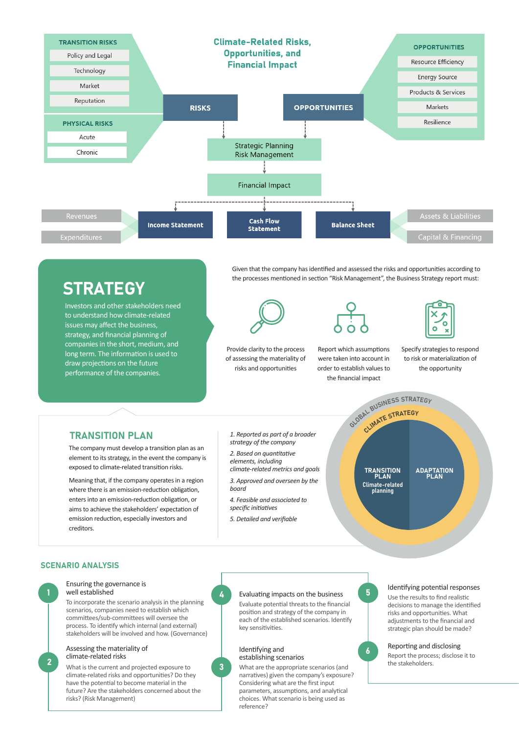

# **STRATEGY**

Investors and other stakeholders need to understand how climate-related issues may affect the business, strategy, and financial planning of companies in the short, medium, and long term. The information is used to draw projections on the future performance of the companies.

Given that the company has identified and assessed the risks and opportunities according to the processes mentioned in section "Risk Management", the Business Strategy report must:



Provide clarity to the process of assessing the materiality of risks and opportuni�es

Report which assumptions were taken into account in order to establish values to the financial impact GLOBAL BUSINESS STRATEGY



Specify strategies to respond to risk or materialization of the opportunity

### **TRANSITION PLAN**

The company must develop a transition plan as an element to its strategy, in the event the company is exposed to climate-related transition risks.

Meaning that, if the company operates in a region where there is an emission-reduction obligation, enters into an emission-reduction obligation, or aims to achieve the stakeholders' expectation of emission reduction, especially investors and creditors.

*1. Reported as part of a broader strategy of the company*

*2. Based on quantitative elements, including climate-related metrics and goals*

*3. Approved and overseen by the board*

*4. Feasible and associated to specific initiatives*

*5. Detailed and verifiable*

**TRANSITION** PLAN Climate-related planning

CLIMATE STRATEGY

**ADAPTATION** PL AN

#### SCENARIO ANALYSIS



#### Ensuring the governance is well established

To incorporate the scenario analysis in the planning scenarios, companies need to establish which commi�ees/sub-commi�ees will oversee the process. To iden�fy which internal (and external) stakeholders will be involved and how. (Governance)

### Assessing the materiality of<br>climate-related risks

**2** climate-related risks establishing scenarios<br>
What is the current and projected exposure to<br> **climate-related risks** What are the appropriate scenarios (and climate-related risks and opportuni�es? Do they have the potential to become material in the future? Are the stakeholders concerned about the risks? (Risk Management)



3

#### Evaluating impacts on the business

Evaluate potential threats to the financial position and strategy of the company in each of the established scenarios. Identify key sensitivities.

#### Identifying and establishing scenarios

narratives) given the company's exposure? Considering what are the first input parameters, assumptions, and analytical choices. What scenario is being used as reference?



6

#### Identifying potential responses

Use the results to find realistic decisions to manage the identified risks and opportuni�es. What adjustments to the financial and strategic plan should be made?

#### Reporting and disclosing

Report the process; disclose it to the stakeholders.